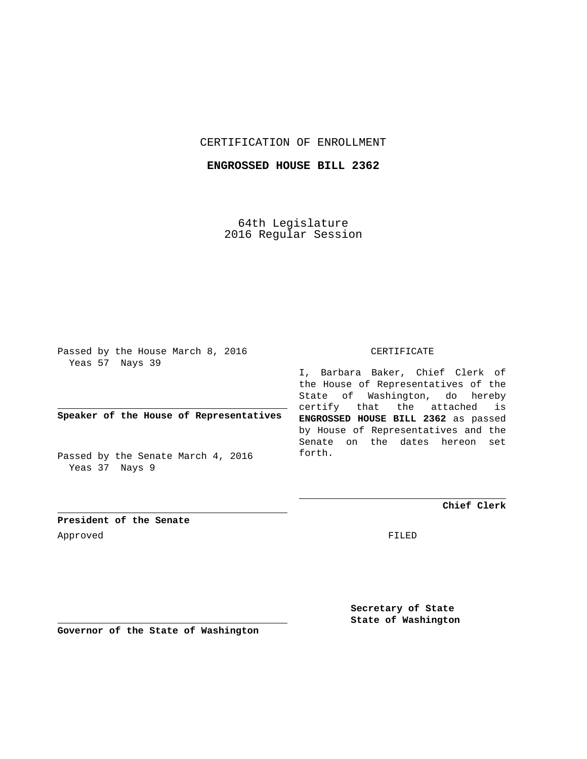# CERTIFICATION OF ENROLLMENT

### **ENGROSSED HOUSE BILL 2362**

64th Legislature 2016 Regular Session

Passed by the House March 8, 2016 Yeas 57 Nays 39

# **Speaker of the House of Representatives**

Passed by the Senate March 4, 2016 Yeas 37 Nays 9

#### CERTIFICATE

I, Barbara Baker, Chief Clerk of the House of Representatives of the State of Washington, do hereby certify that the attached is **ENGROSSED HOUSE BILL 2362** as passed by House of Representatives and the Senate on the dates hereon set forth.

**Chief Clerk**

**President of the Senate** Approved FILED

**Secretary of State State of Washington**

**Governor of the State of Washington**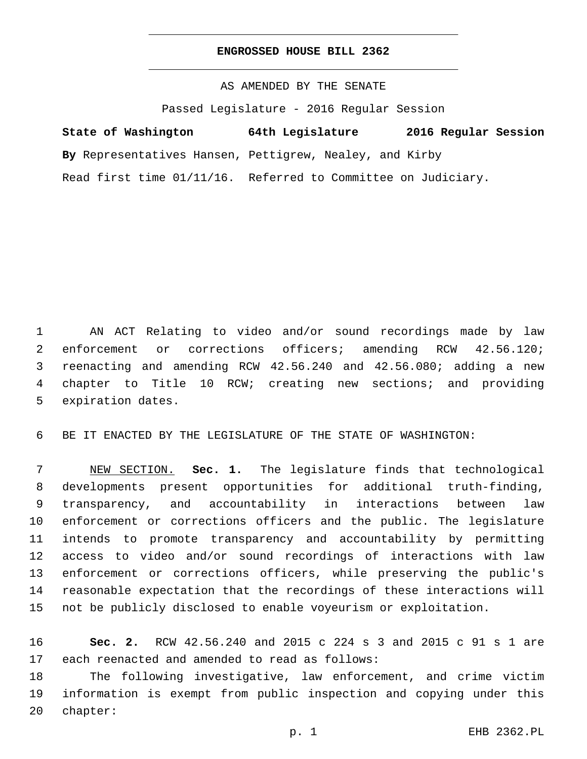#### **ENGROSSED HOUSE BILL 2362**

AS AMENDED BY THE SENATE

Passed Legislature - 2016 Regular Session

**State of Washington 64th Legislature 2016 Regular Session**

**By** Representatives Hansen, Pettigrew, Nealey, and Kirby

Read first time 01/11/16. Referred to Committee on Judiciary.

 AN ACT Relating to video and/or sound recordings made by law enforcement or corrections officers; amending RCW 42.56.120; reenacting and amending RCW 42.56.240 and 42.56.080; adding a new chapter to Title 10 RCW; creating new sections; and providing 5 expiration dates.

BE IT ENACTED BY THE LEGISLATURE OF THE STATE OF WASHINGTON:

 NEW SECTION. **Sec. 1.** The legislature finds that technological developments present opportunities for additional truth-finding, transparency, and accountability in interactions between law enforcement or corrections officers and the public. The legislature intends to promote transparency and accountability by permitting access to video and/or sound recordings of interactions with law enforcement or corrections officers, while preserving the public's reasonable expectation that the recordings of these interactions will not be publicly disclosed to enable voyeurism or exploitation.

 **Sec. 2.** RCW 42.56.240 and 2015 c 224 s 3 and 2015 c 91 s 1 are 17 each reenacted and amended to read as follows:

 The following investigative, law enforcement, and crime victim information is exempt from public inspection and copying under this 20 chapter: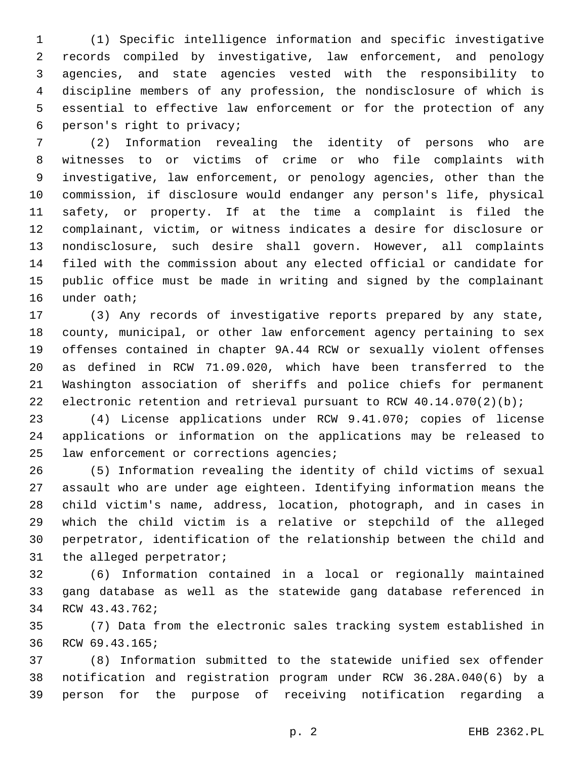(1) Specific intelligence information and specific investigative records compiled by investigative, law enforcement, and penology agencies, and state agencies vested with the responsibility to discipline members of any profession, the nondisclosure of which is essential to effective law enforcement or for the protection of any person's right to privacy;6

 (2) Information revealing the identity of persons who are witnesses to or victims of crime or who file complaints with investigative, law enforcement, or penology agencies, other than the commission, if disclosure would endanger any person's life, physical safety, or property. If at the time a complaint is filed the complainant, victim, or witness indicates a desire for disclosure or nondisclosure, such desire shall govern. However, all complaints filed with the commission about any elected official or candidate for public office must be made in writing and signed by the complainant 16 under oath;

 (3) Any records of investigative reports prepared by any state, county, municipal, or other law enforcement agency pertaining to sex offenses contained in chapter 9A.44 RCW or sexually violent offenses as defined in RCW 71.09.020, which have been transferred to the Washington association of sheriffs and police chiefs for permanent 22 electronic retention and retrieval pursuant to RCW  $40.14.070(2)(b)$ ;

 (4) License applications under RCW 9.41.070; copies of license applications or information on the applications may be released to 25 law enforcement or corrections agencies;

 (5) Information revealing the identity of child victims of sexual assault who are under age eighteen. Identifying information means the child victim's name, address, location, photograph, and in cases in which the child victim is a relative or stepchild of the alleged perpetrator, identification of the relationship between the child and 31 the alleged perpetrator;

 (6) Information contained in a local or regionally maintained gang database as well as the statewide gang database referenced in 34 RCW 43.43.762;

 (7) Data from the electronic sales tracking system established in 36 RCW 69.43.165;

 (8) Information submitted to the statewide unified sex offender notification and registration program under RCW 36.28A.040(6) by a person for the purpose of receiving notification regarding a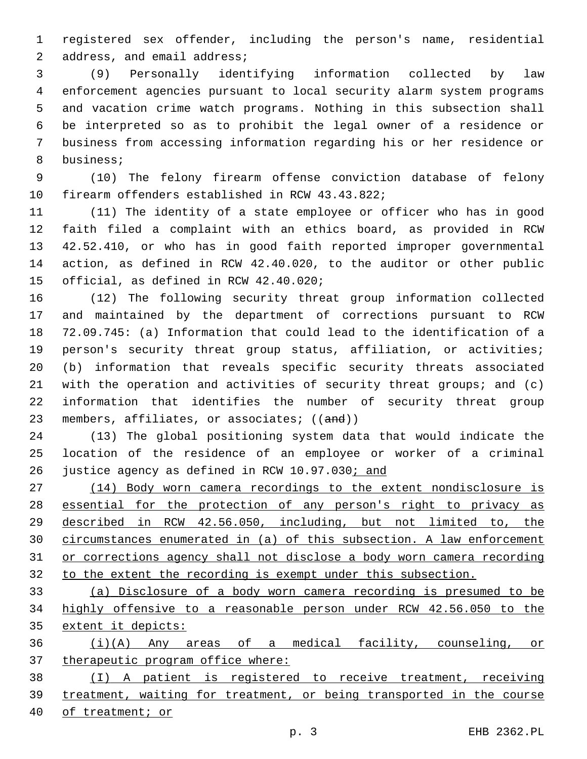registered sex offender, including the person's name, residential 2 address, and email address;

 (9) Personally identifying information collected by law enforcement agencies pursuant to local security alarm system programs and vacation crime watch programs. Nothing in this subsection shall be interpreted so as to prohibit the legal owner of a residence or business from accessing information regarding his or her residence or 8 business;

 (10) The felony firearm offense conviction database of felony 10 firearm offenders established in RCW 43.43.822;

 (11) The identity of a state employee or officer who has in good faith filed a complaint with an ethics board, as provided in RCW 42.52.410, or who has in good faith reported improper governmental action, as defined in RCW 42.40.020, to the auditor or other public 15 official, as defined in RCW 42.40.020;

 (12) The following security threat group information collected and maintained by the department of corrections pursuant to RCW 72.09.745: (a) Information that could lead to the identification of a person's security threat group status, affiliation, or activities; (b) information that reveals specific security threats associated with the operation and activities of security threat groups; and (c) information that identifies the number of security threat group 23 members, affiliates, or associates; ((and))

 (13) The global positioning system data that would indicate the location of the residence of an employee or worker of a criminal justice agency as defined in RCW 10.97.030; and

 (14) Body worn camera recordings to the extent nondisclosure is 28 essential for the protection of any person's right to privacy as described in RCW 42.56.050, including, but not limited to, the circumstances enumerated in (a) of this subsection. A law enforcement or corrections agency shall not disclose a body worn camera recording to the extent the recording is exempt under this subsection.

 (a) Disclosure of a body worn camera recording is presumed to be highly offensive to a reasonable person under RCW 42.56.050 to the extent it depicts:

 (i)(A) Any areas of a medical facility, counseling, or 37 therapeutic program office where:

 (I) A patient is registered to receive treatment, receiving treatment, waiting for treatment, or being transported in the course of treatment; or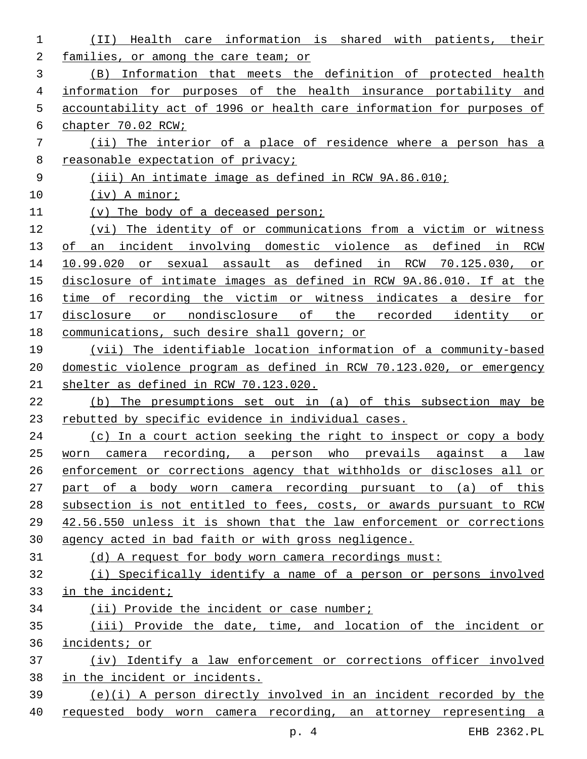| 1  | care information is shared with patients,<br>Health<br>(II)<br>their  |
|----|-----------------------------------------------------------------------|
| 2  | families, or among the care team; or                                  |
| 3  | Information that meets the definition of protected health<br>(B)      |
| 4  | information for purposes of the health insurance portability and      |
| 5  | accountability act of 1996 or health care information for purposes of |
| 6  | chapter 70.02 RCW;                                                    |
| 7  | (ii) The interior of a place of residence where a person has a        |
| 8  | reasonable expectation of privacy;                                    |
| 9  | (iii) An intimate image as defined in RCW 9A.86.010;                  |
| 10 | $(iv)$ A minor;                                                       |
| 11 | (v) The body of a deceased person;                                    |
| 12 | (vi) The identity of or communications from a victim or witness       |
| 13 | an incident involving domestic violence as defined in RCW<br>οf       |
| 14 | 10.99.020 or sexual assault as defined in RCW<br>70.125.030,<br>or    |
| 15 | disclosure of intimate images as defined in RCW 9A.86.010. If at the  |
| 16 | time of recording the victim or witness indicates a desire for        |
| 17 | or nondisclosure of the recorded identity or<br>disclosure            |
| 18 | communications, such desire shall govern; or                          |
| 19 | (vii) The identifiable location information of a community-based      |
| 20 | domestic violence program as defined in RCW 70.123.020, or emergency  |
| 21 | shelter as defined in RCW 70.123.020.                                 |
| 22 | The presumptions set out in (a) of this subsection may be<br>(b)      |
| 23 | rebutted by specific evidence in individual cases.                    |
| 24 | (c) In a court action seeking the right to inspect or copy a body     |
| 25 | camera recording, a person who prevails against a<br>law<br>worn      |
| 26 | enforcement or corrections agency that withholds or discloses all or  |
| 27 | part of a body worn camera recording pursuant to (a) of this          |
| 28 | subsection is not entitled to fees, costs, or awards pursuant to RCW  |
| 29 | 42.56.550 unless it is shown that the law enforcement or corrections  |
| 30 | agency acted in bad faith or with gross negligence.                   |
| 31 | (d) A request for body worn camera recordings must:                   |
| 32 | (i) Specifically identify a name of a person or persons involved      |
| 33 | in the incident;                                                      |
| 34 | (ii) Provide the incident or case number;                             |
| 35 | (iii) Provide the date, time, and location of the incident or         |
| 36 | incidents; or                                                         |
| 37 | (iv) Identify a law enforcement or corrections officer involved       |
| 38 | in the incident or incidents.                                         |
| 39 | (e)(i) A person directly involved in an incident recorded by the      |
| 40 | requested body worn camera recording, an attorney representing a      |

p. 4 EHB 2362.PL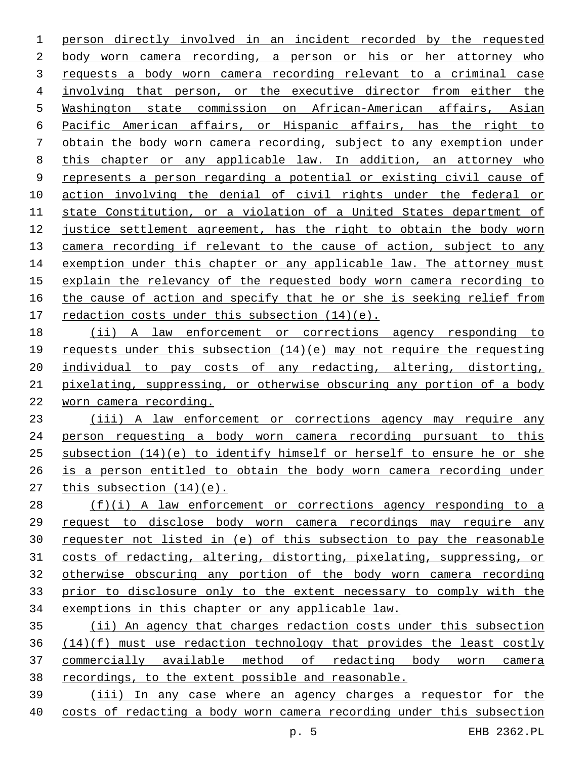person directly involved in an incident recorded by the requested body worn camera recording, a person or his or her attorney who requests a body worn camera recording relevant to a criminal case involving that person, or the executive director from either the Washington state commission on African-American affairs, Asian Pacific American affairs, or Hispanic affairs, has the right to obtain the body worn camera recording, subject to any exemption under this chapter or any applicable law. In addition, an attorney who represents a person regarding a potential or existing civil cause of action involving the denial of civil rights under the federal or state Constitution, or a violation of a United States department of justice settlement agreement, has the right to obtain the body worn 13 camera recording if relevant to the cause of action, subject to any 14 exemption under this chapter or any applicable law. The attorney must 15 explain the relevancy of the requested body worn camera recording to the cause of action and specify that he or she is seeking relief from 17 redaction costs under this subsection  $(14)(e)$ .

 (ii) A law enforcement or corrections agency responding to requests under this subsection (14)(e) may not require the requesting 20 individual to pay costs of any redacting, altering, distorting, pixelating, suppressing, or otherwise obscuring any portion of a body worn camera recording.

 (iii) A law enforcement or corrections agency may require any person requesting a body worn camera recording pursuant to this subsection (14)(e) to identify himself or herself to ensure he or she is a person entitled to obtain the body worn camera recording under this subsection (14)(e).

 (f)(i) A law enforcement or corrections agency responding to a request to disclose body worn camera recordings may require any requester not listed in (e) of this subsection to pay the reasonable costs of redacting, altering, distorting, pixelating, suppressing, or otherwise obscuring any portion of the body worn camera recording prior to disclosure only to the extent necessary to comply with the exemptions in this chapter or any applicable law.

 (ii) An agency that charges redaction costs under this subsection (14)(f) must use redaction technology that provides the least costly commercially available method of redacting body worn camera recordings, to the extent possible and reasonable.

 (iii) In any case where an agency charges a requestor for the costs of redacting a body worn camera recording under this subsection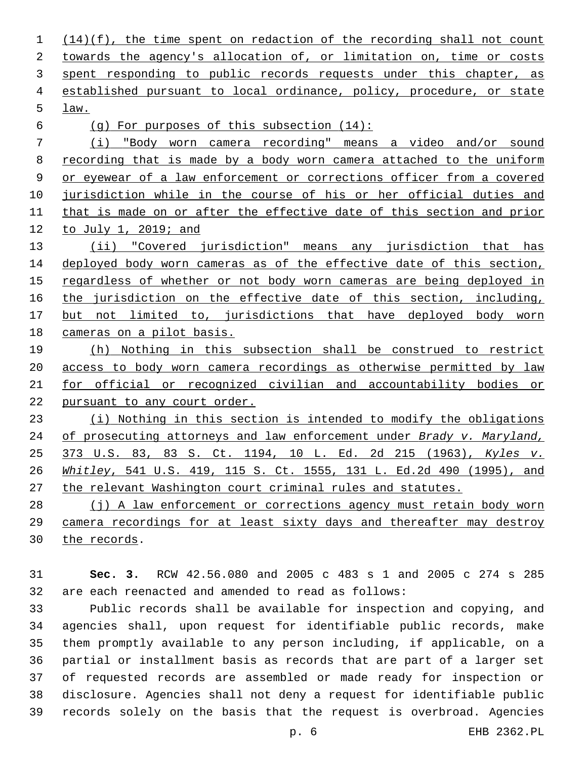(14)(f), the time spent on redaction of the recording shall not count towards the agency's allocation of, or limitation on, time or costs 3 spent responding to public records requests under this chapter, as established pursuant to local ordinance, policy, procedure, or state law.5

(g) For purposes of this subsection (14):

 (i) "Body worn camera recording" means a video and/or sound 8 recording that is made by a body worn camera attached to the uniform or eyewear of a law enforcement or corrections officer from a covered 10 jurisdiction while in the course of his or her official duties and that is made on or after the effective date of this section and prior to July 1, 2019; and

 (ii) "Covered jurisdiction" means any jurisdiction that has deployed body worn cameras as of the effective date of this section, regardless of whether or not body worn cameras are being deployed in 16 the jurisdiction on the effective date of this section, including, but not limited to, jurisdictions that have deployed body worn cameras on a pilot basis.

 (h) Nothing in this subsection shall be construed to restrict access to body worn camera recordings as otherwise permitted by law for official or recognized civilian and accountability bodies or pursuant to any court order.

 (i) Nothing in this section is intended to modify the obligations of prosecuting attorneys and law enforcement under *Brady v. Maryland,* 373 U.S. 83, 83 S. Ct. 1194, 10 L. Ed. 2d 215 (1963), *Kyles v. Whitley*, 541 U.S. 419, 115 S. Ct. 1555, 131 L. Ed.2d 490 (1995), and the relevant Washington court criminal rules and statutes.

28 (j) A law enforcement or corrections agency must retain body worn camera recordings for at least sixty days and thereafter may destroy 30 the records.

 **Sec. 3.** RCW 42.56.080 and 2005 c 483 s 1 and 2005 c 274 s 285 are each reenacted and amended to read as follows:

 Public records shall be available for inspection and copying, and agencies shall, upon request for identifiable public records, make them promptly available to any person including, if applicable, on a partial or installment basis as records that are part of a larger set of requested records are assembled or made ready for inspection or disclosure. Agencies shall not deny a request for identifiable public records solely on the basis that the request is overbroad. Agencies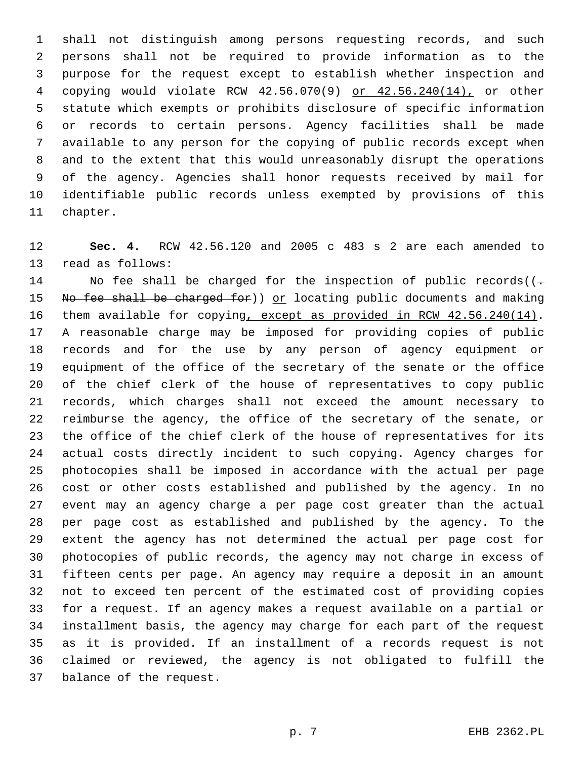shall not distinguish among persons requesting records, and such persons shall not be required to provide information as to the purpose for the request except to establish whether inspection and copying would violate RCW 42.56.070(9) or 42.56.240(14), or other statute which exempts or prohibits disclosure of specific information or records to certain persons. Agency facilities shall be made available to any person for the copying of public records except when and to the extent that this would unreasonably disrupt the operations of the agency. Agencies shall honor requests received by mail for identifiable public records unless exempted by provisions of this 11 chapter.

 **Sec. 4.** RCW 42.56.120 and 2005 c 483 s 2 are each amended to 13 read as follows:

14 No fee shall be charged for the inspection of public records( $(-$ 15 No fee shall be charged for)) or locating public documents and making them available for copying, except as provided in RCW 42.56.240(14). A reasonable charge may be imposed for providing copies of public records and for the use by any person of agency equipment or equipment of the office of the secretary of the senate or the office of the chief clerk of the house of representatives to copy public records, which charges shall not exceed the amount necessary to reimburse the agency, the office of the secretary of the senate, or the office of the chief clerk of the house of representatives for its actual costs directly incident to such copying. Agency charges for photocopies shall be imposed in accordance with the actual per page cost or other costs established and published by the agency. In no event may an agency charge a per page cost greater than the actual per page cost as established and published by the agency. To the extent the agency has not determined the actual per page cost for photocopies of public records, the agency may not charge in excess of fifteen cents per page. An agency may require a deposit in an amount not to exceed ten percent of the estimated cost of providing copies for a request. If an agency makes a request available on a partial or installment basis, the agency may charge for each part of the request as it is provided. If an installment of a records request is not claimed or reviewed, the agency is not obligated to fulfill the 37 balance of the request.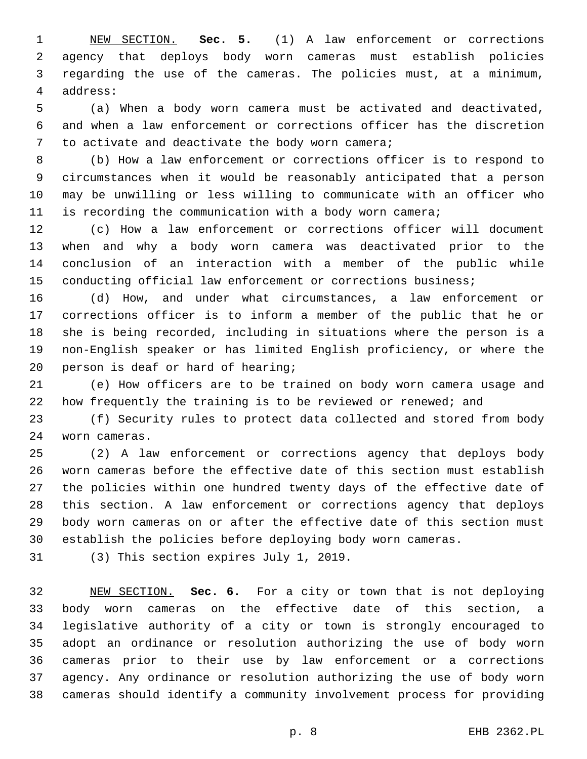NEW SECTION. **Sec. 5.** (1) A law enforcement or corrections agency that deploys body worn cameras must establish policies regarding the use of the cameras. The policies must, at a minimum, address:

 (a) When a body worn camera must be activated and deactivated, and when a law enforcement or corrections officer has the discretion 7 to activate and deactivate the body worn camera;

 (b) How a law enforcement or corrections officer is to respond to circumstances when it would be reasonably anticipated that a person may be unwilling or less willing to communicate with an officer who is recording the communication with a body worn camera;

 (c) How a law enforcement or corrections officer will document when and why a body worn camera was deactivated prior to the conclusion of an interaction with a member of the public while conducting official law enforcement or corrections business;

 (d) How, and under what circumstances, a law enforcement or corrections officer is to inform a member of the public that he or she is being recorded, including in situations where the person is a non-English speaker or has limited English proficiency, or where the 20 person is deaf or hard of hearing;

 (e) How officers are to be trained on body worn camera usage and how frequently the training is to be reviewed or renewed; and

 (f) Security rules to protect data collected and stored from body worn cameras.24

 (2) A law enforcement or corrections agency that deploys body worn cameras before the effective date of this section must establish the policies within one hundred twenty days of the effective date of this section. A law enforcement or corrections agency that deploys body worn cameras on or after the effective date of this section must establish the policies before deploying body worn cameras.

31 (3) This section expires July 1, 2019.

 NEW SECTION. **Sec. 6.** For a city or town that is not deploying body worn cameras on the effective date of this section, a legislative authority of a city or town is strongly encouraged to adopt an ordinance or resolution authorizing the use of body worn cameras prior to their use by law enforcement or a corrections agency. Any ordinance or resolution authorizing the use of body worn cameras should identify a community involvement process for providing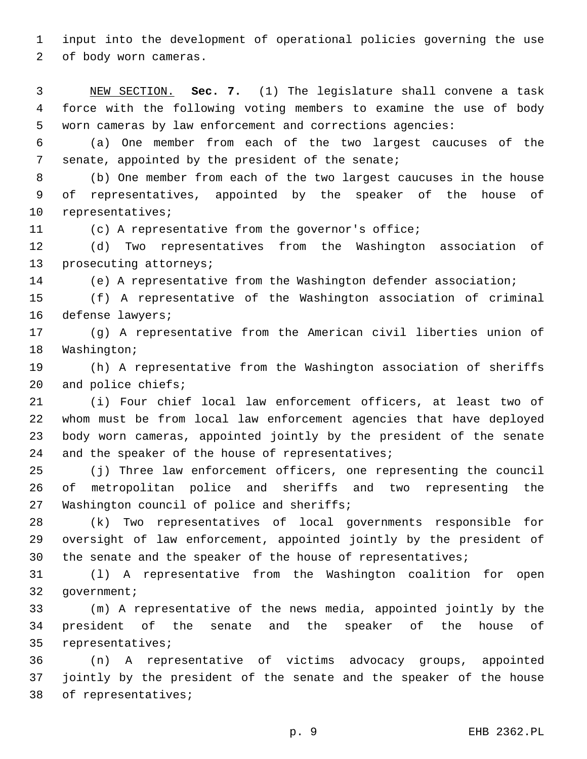input into the development of operational policies governing the use 2 of body worn cameras.

 NEW SECTION. **Sec. 7.** (1) The legislature shall convene a task force with the following voting members to examine the use of body worn cameras by law enforcement and corrections agencies:

 (a) One member from each of the two largest caucuses of the 7 senate, appointed by the president of the senate;

 (b) One member from each of the two largest caucuses in the house of representatives, appointed by the speaker of the house of 10 representatives;

(c) A representative from the governor's office;

 (d) Two representatives from the Washington association of 13 prosecuting attorneys;

(e) A representative from the Washington defender association;

 (f) A representative of the Washington association of criminal 16 defense lawyers;

 (g) A representative from the American civil liberties union of 18 Washington;

 (h) A representative from the Washington association of sheriffs 20 and police chiefs;

 (i) Four chief local law enforcement officers, at least two of whom must be from local law enforcement agencies that have deployed body worn cameras, appointed jointly by the president of the senate 24 and the speaker of the house of representatives;

 (j) Three law enforcement officers, one representing the council of metropolitan police and sheriffs and two representing the 27 Washington council of police and sheriffs;

 (k) Two representatives of local governments responsible for oversight of law enforcement, appointed jointly by the president of the senate and the speaker of the house of representatives;

 (l) A representative from the Washington coalition for open 32 qovernment;

 (m) A representative of the news media, appointed jointly by the president of the senate and the speaker of the house of 35 representatives;

 (n) A representative of victims advocacy groups, appointed jointly by the president of the senate and the speaker of the house 38 of representatives;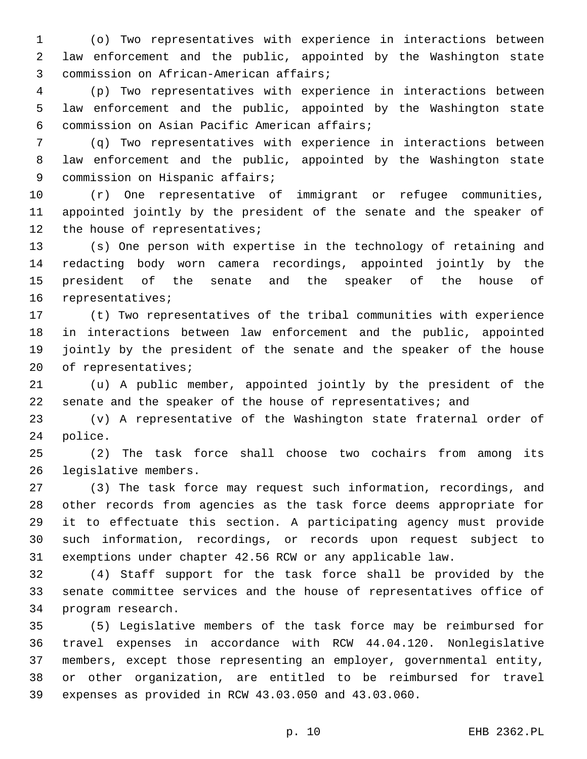(o) Two representatives with experience in interactions between law enforcement and the public, appointed by the Washington state 3 commission on African-American affairs;

 (p) Two representatives with experience in interactions between law enforcement and the public, appointed by the Washington state commission on Asian Pacific American affairs;6

 (q) Two representatives with experience in interactions between law enforcement and the public, appointed by the Washington state 9 commission on Hispanic affairs;

 (r) One representative of immigrant or refugee communities, appointed jointly by the president of the senate and the speaker of 12 the house of representatives;

 (s) One person with expertise in the technology of retaining and redacting body worn camera recordings, appointed jointly by the president of the senate and the speaker of the house of 16 representatives;

 (t) Two representatives of the tribal communities with experience in interactions between law enforcement and the public, appointed jointly by the president of the senate and the speaker of the house 20 of representatives;

 (u) A public member, appointed jointly by the president of the senate and the speaker of the house of representatives; and

 (v) A representative of the Washington state fraternal order of 24 police.

 (2) The task force shall choose two cochairs from among its 26 legislative members.

 (3) The task force may request such information, recordings, and other records from agencies as the task force deems appropriate for it to effectuate this section. A participating agency must provide such information, recordings, or records upon request subject to exemptions under chapter 42.56 RCW or any applicable law.

 (4) Staff support for the task force shall be provided by the senate committee services and the house of representatives office of 34 program research.

 (5) Legislative members of the task force may be reimbursed for travel expenses in accordance with RCW 44.04.120. Nonlegislative members, except those representing an employer, governmental entity, or other organization, are entitled to be reimbursed for travel expenses as provided in RCW 43.03.050 and 43.03.060.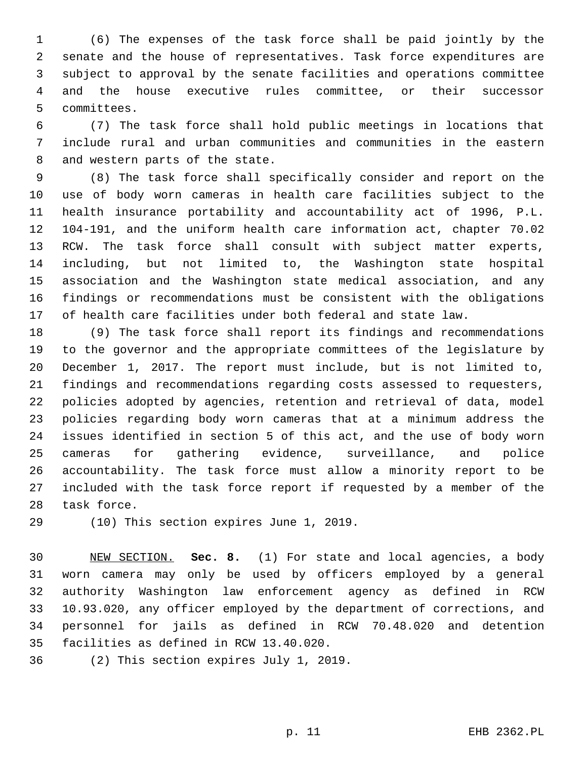(6) The expenses of the task force shall be paid jointly by the senate and the house of representatives. Task force expenditures are subject to approval by the senate facilities and operations committee and the house executive rules committee, or their successor 5 committees.

 (7) The task force shall hold public meetings in locations that include rural and urban communities and communities in the eastern 8 and western parts of the state.

 (8) The task force shall specifically consider and report on the use of body worn cameras in health care facilities subject to the health insurance portability and accountability act of 1996, P.L. 104-191, and the uniform health care information act, chapter 70.02 RCW. The task force shall consult with subject matter experts, including, but not limited to, the Washington state hospital association and the Washington state medical association, and any findings or recommendations must be consistent with the obligations of health care facilities under both federal and state law.

 (9) The task force shall report its findings and recommendations to the governor and the appropriate committees of the legislature by December 1, 2017. The report must include, but is not limited to, findings and recommendations regarding costs assessed to requesters, policies adopted by agencies, retention and retrieval of data, model policies regarding body worn cameras that at a minimum address the issues identified in section 5 of this act, and the use of body worn cameras for gathering evidence, surveillance, and police accountability. The task force must allow a minority report to be included with the task force report if requested by a member of the 28 task force.

29 (10) This section expires June 1, 2019.

 NEW SECTION. **Sec. 8.** (1) For state and local agencies, a body worn camera may only be used by officers employed by a general authority Washington law enforcement agency as defined in RCW 10.93.020, any officer employed by the department of corrections, and personnel for jails as defined in RCW 70.48.020 and detention facilities as defined in RCW 13.40.020.

36 (2) This section expires July 1, 2019.